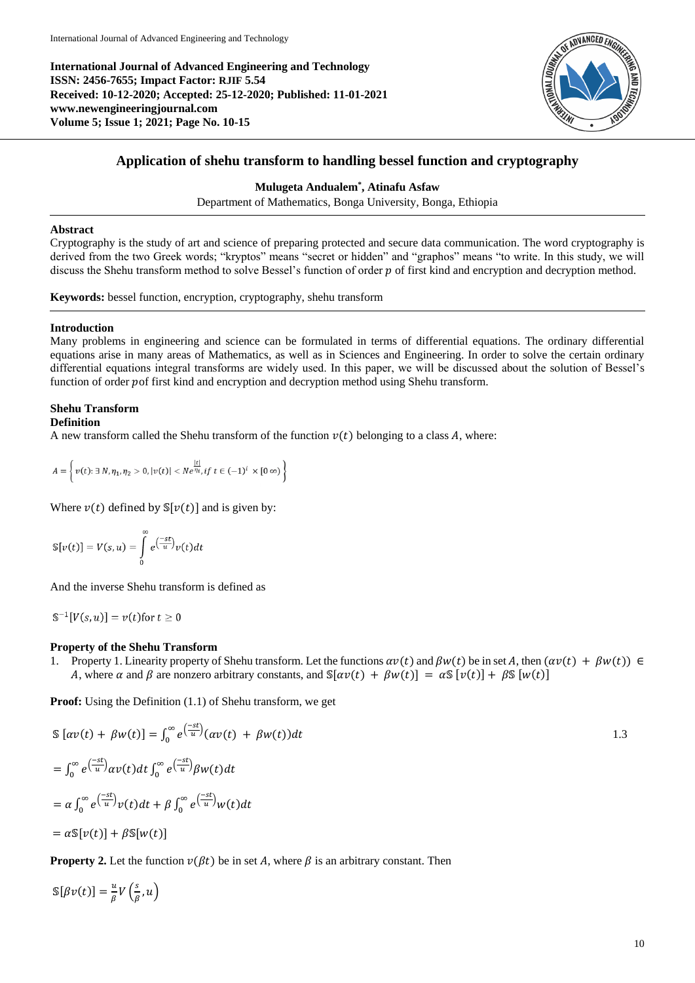**International Journal of Advanced Engineering and Technology ISSN: 2456-7655; Impact Factor: RJIF 5.54 Received: 10-12-2020; Accepted: 25-12-2020; Published: 11-01-2021 www.newengineeringjournal.com Volume 5; Issue 1; 2021; Page No. 10-15**



# **Application of shehu transform to handling bessel function and cryptography**

## **Mulugeta Andualem\* , Atinafu Asfaw**

Department of Mathematics, Bonga University, Bonga, Ethiopia

## **Abstract**

Cryptography is the study of art and science of preparing protected and secure data communication. The word cryptography is derived from the two Greek words; "kryptos" means "secret or hidden" and "graphos" means "to write. In this study, we will discuss the Shehu transform method to solve Bessel's function of order  $p$  of first kind and encryption and decryption method.

**Keywords:** bessel function, encryption, cryptography, shehu transform

## **Introduction**

Many problems in engineering and science can be formulated in terms of differential equations. The ordinary differential equations arise in many areas of Mathematics, as well as in Sciences and Engineering. In order to solve the certain ordinary differential equations integral transforms are widely used. In this paper, we will be discussed about the solution of Bessel's function of order pof first kind and encryption and decryption method using Shehu transform.

# **Shehu Transform**

## **Definition**

A new transform called the Shehu transform of the function  $v(t)$  belonging to a class A, where:

$$
A=\left\{\left.v(t);\,\exists\,N,\eta_1,\eta_2>0,|v(t)|
$$

Where  $v(t)$  defined by  $\mathbb{S}[v(t)]$  and is given by:

$$
\mathbb{S}[v(t)] = V(s, u) = \int_{0}^{\infty} e^{\left(\frac{-st}{u}\right)} v(t) dt
$$

And the inverse Shehu transform is defined as

 $\mathbb{S}^{-1}[V(s, u)] = v(t)$  for  $t \ge 0$ 

## **Property of the Shehu Transform**

1. Property 1. Linearity property of Shehu transform. Let the functions  $\alpha v(t)$  and  $\beta w(t)$  be in set A, then  $(\alpha v(t) + \beta w(t)) \in$ A, where  $\alpha$  and  $\beta$  are nonzero arbitrary constants, and  $\mathbb{S}[\alpha v(t) + \beta w(t)] = \alpha \mathbb{S}[v(t)] + \beta \mathbb{S}[w(t)]$ 

**Proof:** Using the Definition (1.1) of Shehu transform, we get

$$
\mathbb{S}\left[\alpha v(t) + \beta w(t)\right] = \int_0^\infty e^{\left(\frac{-st}{u}\right)} (\alpha v(t) + \beta w(t)) dt
$$
  
\n
$$
= \int_0^\infty e^{\left(\frac{-st}{u}\right)} \alpha v(t) dt \int_0^\infty e^{\left(\frac{-st}{u}\right)} \beta w(t) dt
$$
  
\n
$$
= \alpha \int_0^\infty e^{\left(\frac{-st}{u}\right)} v(t) dt + \beta \int_0^\infty e^{\left(\frac{-st}{u}\right)} w(t) dt
$$
  
\n
$$
= \alpha \mathbb{S}[v(t)] + \beta \mathbb{S}[w(t)]
$$

**Property 2.** Let the function  $v(\beta t)$  be in set A, where  $\beta$  is an arbitrary constant. Then

 $\mathbb{S}[\beta v(t)] = \frac{u}{a}$  $\frac{u}{\beta}V\left(\frac{s}{\beta}\right)$  $\frac{s}{\beta}, u$ )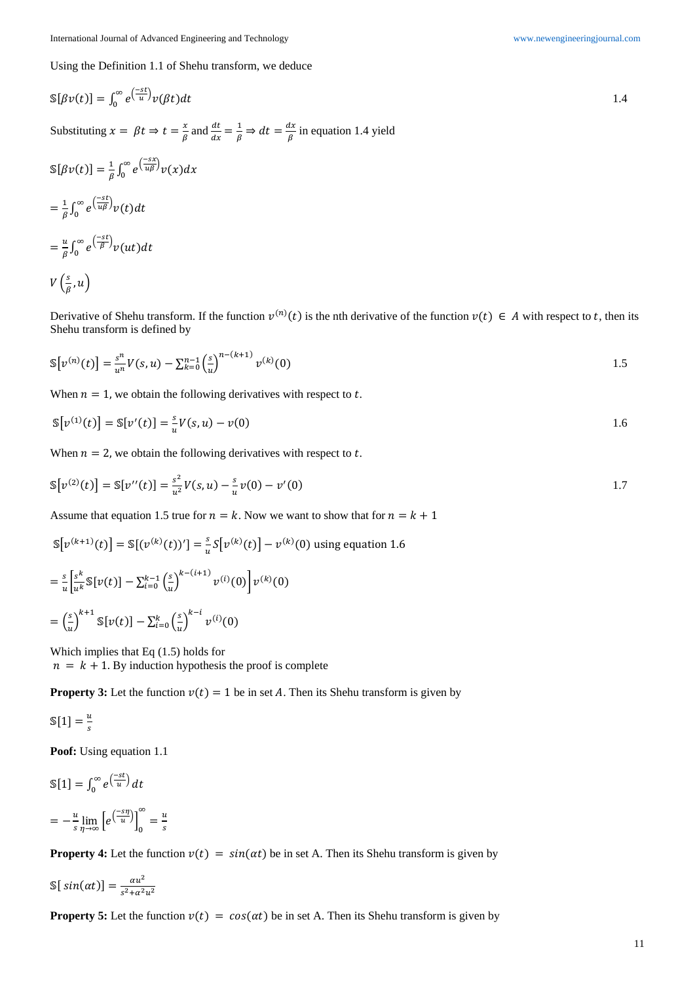Using the Definition 1.1 of Shehu transform, we deduce

$$
\mathbb{S}[\beta v(t)] = \int_0^\infty e^{\frac{-st}{u}} v(\beta t) dt
$$
  
\nSubstituting  $x = \beta t \Rightarrow t = \frac{x}{\beta}$  and  $\frac{dt}{dx} = \frac{1}{\beta} \Rightarrow dt = \frac{dx}{\beta}$  in equation 1.4 yield  
\n
$$
\mathbb{S}[\beta v(t)] = \frac{1}{\beta} \int_0^\infty e^{\frac{-sx}{u\beta}} v(x) dx
$$
\n
$$
= \frac{1}{\beta} \int_0^\infty e^{\frac{-st}{u\beta}} v(t) dt
$$
\n
$$
= \frac{u}{\beta} \int_0^\infty e^{\frac{-st}{\beta}} v(ut) dt
$$

$$
V\left(\frac{s}{\beta},u\right)
$$

Derivative of Shehu transform. If the function  $v^{(n)}(t)$  is the nth derivative of the function  $v(t) \in A$  with respect to t, then its Shehu transform is defined by

$$
\mathbb{S}[v^{(n)}(t)] = \frac{s^n}{u^n} V(s, u) - \sum_{k=0}^{n-1} \left(\frac{s}{u}\right)^{n-(k+1)} v^{(k)}(0)
$$

When  $n = 1$ , we obtain the following derivatives with respect to t.

$$
\mathbb{S}[v^{(1)}(t)] = \mathbb{S}[v'(t)] = \frac{s}{u}V(s, u) - v(0)
$$

When  $n = 2$ , we obtain the following derivatives with respect to t.

$$
\mathbb{S}[v^{(2)}(t)] = \mathbb{S}[v''(t)] = \frac{s^2}{u^2}V(s, u) - \frac{s}{u}v(0) - v'(0)
$$

Assume that equation 1.5 true for  $n = k$ . Now we want to show that for  $n = k + 1$ 

()

$$
\mathbb{S}[v^{(k+1)}(t)] = \mathbb{S}[(v^{(k)}(t))'] = \frac{s}{u} \mathbb{S}[v^{(k)}(t)] - v^{(k)}(0) \text{ using equation 1.6}
$$

$$
= \frac{s}{u} \left[ \frac{s^k}{u^k} \mathbb{S}[v(t)] - \sum_{i=0}^{k-1} \left( \frac{s}{u} \right)^{k-(i+1)} v^{(i)}(0) \right] v^{(k)}(0)
$$

$$
= \left( \frac{s}{u} \right)^{k+1} \mathbb{S}[v(t)] - \sum_{i=0}^{k} \left( \frac{s}{u} \right)^{k-i} v^{(i)}(0)
$$

Which implies that Eq (1.5) holds for  $n = k + 1$ . By induction hypothesis the proof is complete

**Property 3:** Let the function  $v(t) = 1$  be in set A. Then its Shehu transform is given by

$$
\mathbb{S}[1] = \frac{u}{s}
$$

**Poof:** Using equation 1.1

$$
\mathbb{S}[1] = \int_0^\infty e^{\left(\frac{-st}{u}\right)} dt
$$

$$
= -\frac{u}{s} \lim_{\eta \to \infty} \left[ e^{\left(\frac{-s\eta}{u}\right)} \right]_0^\infty = \frac{u}{s}
$$

**Property 4:** Let the function  $v(t) = sin(\alpha t)$  be in set A. Then its Shehu transform is given by

$$
\mathbb{S}[sin(\alpha t)] = \frac{\alpha u^2}{s^2 + \alpha^2 u^2}
$$

**Property 5:** Let the function  $v(t) = cos(\alpha t)$  be in set A. Then its Shehu transform is given by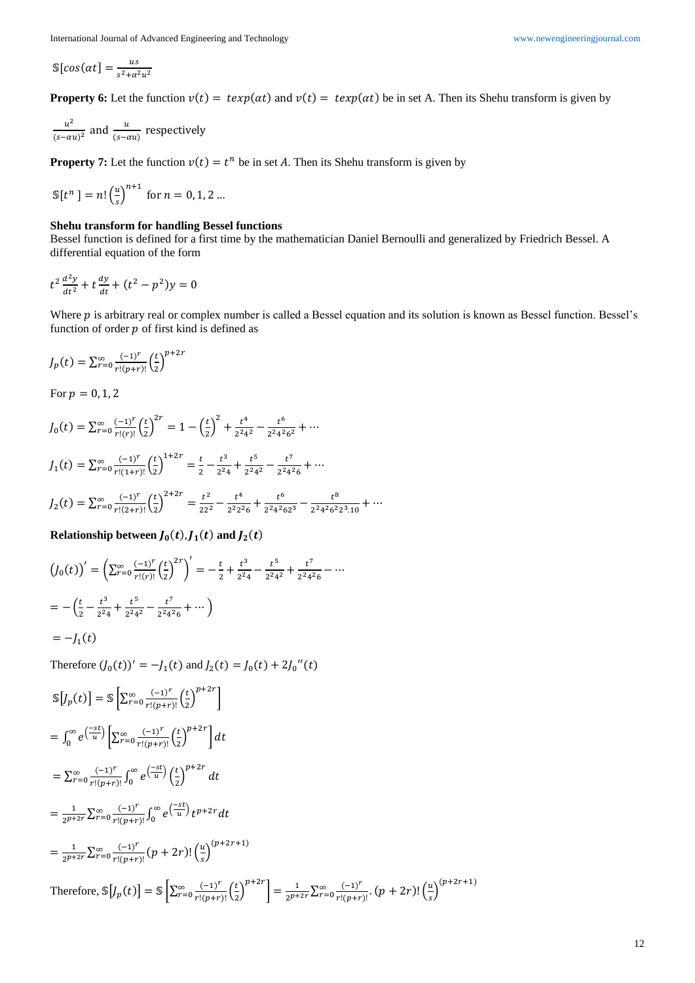$$
\mathbb{S}[cos(\alpha t)] = \frac{us}{s^2 + \alpha^2 u^2}
$$

**Property 6:** Let the function  $v(t) = \exp(\alpha t)$  and  $v(t) = \exp(\alpha t)$  be in set A. Then its Shehu transform is given by

$$
\frac{u^2}{(s-\alpha u)^2}
$$
 and 
$$
\frac{u}{(s-\alpha u)}
$$
 respectively

**Property 7:** Let the function  $v(t) = t^n$  be in set A. Then its Shehu transform is given by

$$
\mathbb{S}[t^n] = n! \left(\frac{u}{s}\right)^{n+1} \text{ for } n = 0, 1, 2 \dots
$$

### **Shehu transform for handling Bessel functions**

Bessel function is defined for a first time by the mathematician Daniel Bernoulli and generalized by Friedrich Bessel. A differential equation of the form

$$
t^2 \frac{d^2 y}{dt^2} + t \frac{dy}{dt} + (t^2 - p^2)y = 0
$$

Where  $p$  is arbitrary real or complex number is called a Bessel equation and its solution is known as Bessel function. Bessel's function of order  $p$  of first kind is defined as

$$
J_p(t) = \sum_{r=0}^{\infty} \frac{(-1)^r}{r!(p+r)!} \left(\frac{t}{2}\right)^{p+2r}
$$

For  $p = 0, 1, 2$ 

$$
J_0(t) = \sum_{r=0}^{\infty} \frac{(-1)^r}{r!(r)!} \left(\frac{t}{2}\right)^{2r} = 1 - \left(\frac{t}{2}\right)^2 + \frac{t^4}{2^2 4^2} - \frac{t^6}{2^2 4^2 6^2} + \cdots
$$

$$
J_1(t) = \sum_{r=0}^{\infty} \frac{(-1)^r}{r!(1+r)!} \left(\frac{t}{2}\right)^{1+2r} = \frac{t}{2} - \frac{t^3}{2^2 4} + \frac{t^5}{2^2 4^2} - \frac{t^7}{2^2 4^2 6} + \cdots
$$

$$
J_2(t) = \sum_{r=0}^{\infty} \frac{(-1)^r}{r!(2+r)!} \left(\frac{t}{2}\right)^{2+2r} = \frac{t^2}{22^2} - \frac{t^4}{2^2 2^2 6} + \frac{t^6}{2^2 4^2 62^3} - \frac{t^8}{2^2 4^2 6^2 2^3 10} + \cdots
$$

Relationship between  $J_0(t)$ ,  $J_1(t)$  and  $J_2(t)$ 

$$
(J_0(t))' = \left(\sum_{r=0}^{\infty} \frac{(-1)^r}{r!(r)!} \left(\frac{t}{2}\right)^{2r}\right)' = -\frac{t}{2} + \frac{t^3}{2^2 4} - \frac{t^5}{2^2 4^2} + \frac{t^7}{2^2 4^2 6} - \dots
$$
  
=  $-\left(\frac{t}{2} - \frac{t^3}{2^2 4} + \frac{t^5}{2^2 4^2} - \frac{t^7}{2^2 4^2 6} + \dots\right)$   
=  $-J_1(t)$ 

Therefore  $(J_0(t))' = -J_1(t)$  and  $J_2(t) = J_0(t) + 2J_0''(t)$ 

$$
\mathbb{S}[J_p(t)] = \mathbb{S}\left[\sum_{r=0}^{\infty} \frac{(-1)^r}{r!(p+r)!} \left(\frac{t}{2}\right)^{p+2r}\right]
$$
\n
$$
= \int_0^{\infty} e^{\left(\frac{-st}{u}\right)} \left[\sum_{r=0}^{\infty} \frac{(-1)^r}{r!(p+r)!} \left(\frac{t}{2}\right)^{p+2r}\right] dt
$$
\n
$$
= \sum_{r=0}^{\infty} \frac{(-1)^r}{r!(p+r)!} \int_0^{\infty} e^{\left(\frac{-st}{u}\right)} \left(\frac{t}{2}\right)^{p+2r} dt
$$
\n
$$
= \frac{1}{2^{p+2r}} \sum_{r=0}^{\infty} \frac{(-1)^r}{r!(p+r)!} \int_0^{\infty} e^{\left(\frac{-st}{u}\right)} t^{p+2r} dt
$$
\n
$$
= \frac{1}{2^{p+2r}} \sum_{r=0}^{\infty} \frac{(-1)^r}{r!(p+r)!} (p+2r)! \left(\frac{u}{s}\right)^{(p+2r+1)}
$$
\n
$$
\text{Therefore, } \mathbb{S}[J_p(t)] = \mathbb{S}\left[\sum_{r=0}^{\infty} \frac{(-1)^r}{r!(p+r)!} \left(\frac{t}{2}\right)^{p+2r}\right] = \frac{1}{2^{p+2r}} \sum_{r=0}^{\infty} \frac{(-1)^r}{r!(p+r)!} (p+2r)! \left(\frac{u}{s}\right)^{(p+2r+1)}
$$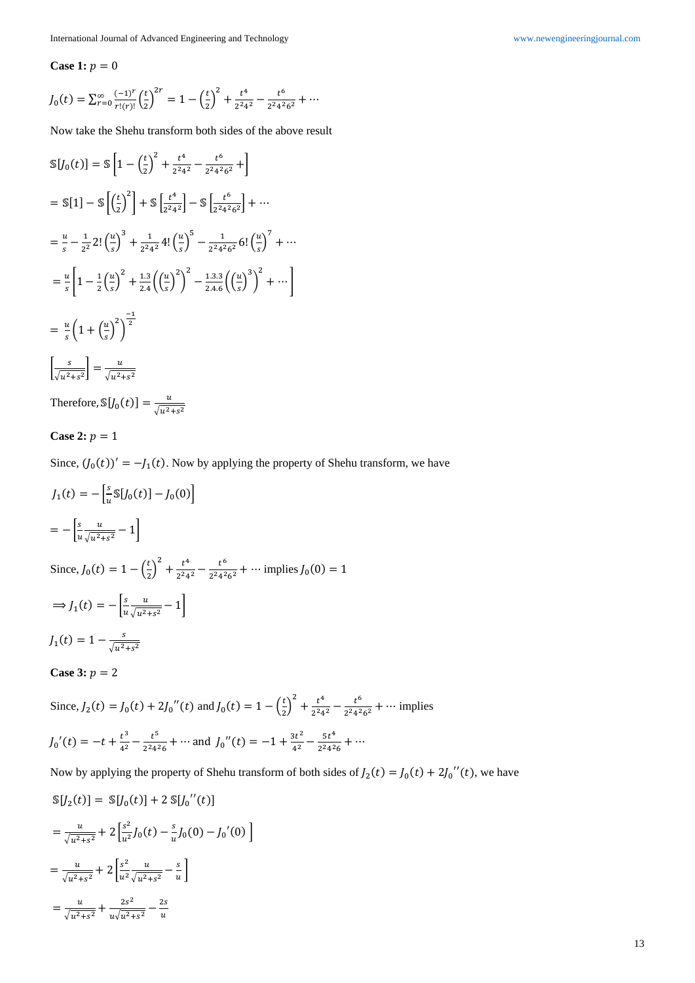#### **Case 1:**  $p = 0$

$$
J_0(t) = \sum_{r=0}^{\infty} \frac{(-1)^r}{r!(r)!} \left(\frac{t}{2}\right)^{2r} = 1 - \left(\frac{t}{2}\right)^2 + \frac{t^4}{2^2 4^2} - \frac{t^6}{2^2 4^2 6^2} + \cdots
$$

Now take the Shehu transform both sides of the above result

$$
\begin{split}\n\mathbb{S}[J_{0}(t)] &= \mathbb{S}\left[1 - \left(\frac{t}{2}\right)^{2} + \frac{t^{4}}{2^{2}4^{2}} - \frac{t^{6}}{2^{2}4^{2}6^{2}} + \right] \\
&= \mathbb{S}[1] - \mathbb{S}\left[\left(\frac{t}{2}\right)^{2}\right] + \mathbb{S}\left[\frac{t^{4}}{2^{2}4^{2}}\right] - \mathbb{S}\left[\frac{t^{6}}{2^{2}4^{2}6^{2}}\right] + \cdots \\
&= \frac{u}{s} - \frac{1}{2^{2}} 2! \left(\frac{u}{s}\right)^{3} + \frac{1}{2^{2}4^{2}} 4! \left(\frac{u}{s}\right)^{5} - \frac{1}{2^{2}4^{2}6^{2}} 6! \left(\frac{u}{s}\right)^{7} + \cdots \\
&= \frac{u}{s} \left[1 - \frac{1}{2} \left(\frac{u}{s}\right)^{2} + \frac{1 \cdot 3}{2 \cdot 4} \left(\left(\frac{u}{s}\right)^{2}\right)^{2} - \frac{1 \cdot 3 \cdot 3}{2 \cdot 4 \cdot 6} \left(\left(\frac{u}{s}\right)^{3}\right)^{2} + \cdots\right] \\
&= \frac{u}{s} \left(1 + \left(\frac{u}{s}\right)^{2}\right)^{\frac{-1}{2}} \\
&\left[\frac{s}{\sqrt{u^{2} + s^{2}}}\right] = \frac{u}{\sqrt{u^{2} + s^{2}}}\n\end{split}
$$

Therefore,  $\mathbb{S}[J_0(t)] = \frac{u}{\sqrt{u^2}}$  $\sqrt{u^2+s^2}$ 

**Case 2:**  $p = 1$ 

Since,  $(J_0(t))' = -J_1(t)$ . Now by applying the property of Shehu transform, we have

$$
J_1(t) = -\left[\frac{s}{u} \mathbb{S}[J_0(t)] - J_0(0)\right]
$$
  
= 
$$
-\left[\frac{s}{u} \frac{u}{\sqrt{u^2 + s^2}} - 1\right]
$$

Since,  $J_0(t) = 1 - \left(\frac{t}{2}\right)$  $\left(\frac{t}{2}\right)^2 + \frac{t^4}{2^2 4}$  $\frac{t^4}{2^2 4^2} - \frac{t^6}{2^2 4^2}$  $\frac{1}{2^2 4^2 6^2} + \cdots$  implies  $J_0(0) = 1$  $\Rightarrow$   $J_1(t) = -\left| \frac{s}{u} \right|$  $\overline{u}$  $\mathfrak u$  $\frac{u}{\sqrt{u^2+s^2}}-1$  $J_1(t) = 1 - \frac{s}{\sqrt{t^2}}$  $\sqrt{u^2+s^2}$ 

# **Case 3:**  $p = 2$

Since,  $J_2(t) = J_0(t) + 2J_0''(t)$  and  $J_0(t) = 1 - \left(\frac{t}{2}\right)$  $\left(\frac{t}{2}\right)^2 + \frac{t^4}{2^2 4}$  $\frac{t^4}{2^2 4^2} - \frac{t^6}{2^2 4^2}$  $\frac{1}{2^2 4^2 6^2} + \cdots$  implies  $J_0'(t) = -t + \frac{t^3}{4^2}$  $rac{t^3}{4^2} - \frac{t^5}{2^2 4^2}$  $\frac{t^5}{2^2 4^2 6} + \cdots$  and  $J_0''(t) = -1 + \frac{3t^2}{4^2}$  $\frac{3t^2}{4^2} - \frac{5t^4}{2^2 4^2}$  $\frac{36}{2^2 4^2 6} + \cdots$ 

Now by applying the property of Shehu transform of both sides of  $J_2(t) = J_0(t) + 2J_0''(t)$ , we have

$$
S[J_2(t)] = S[J_0(t)] + 2 S[J_0''(t)]
$$
  
=  $\frac{u}{\sqrt{u^2+s^2}} + 2 \left[ \frac{s^2}{u^2} J_0(t) - \frac{s}{u} J_0(0) - J_0'(0) \right]$   
=  $\frac{u}{\sqrt{u^2+s^2}} + 2 \left[ \frac{s^2}{u^2} \frac{u}{\sqrt{u^2+s^2}} - \frac{s}{u} \right]$   
=  $\frac{u}{\sqrt{u^2+s^2}} + \frac{2s^2}{u\sqrt{u^2+s^2}} - \frac{2s}{u}$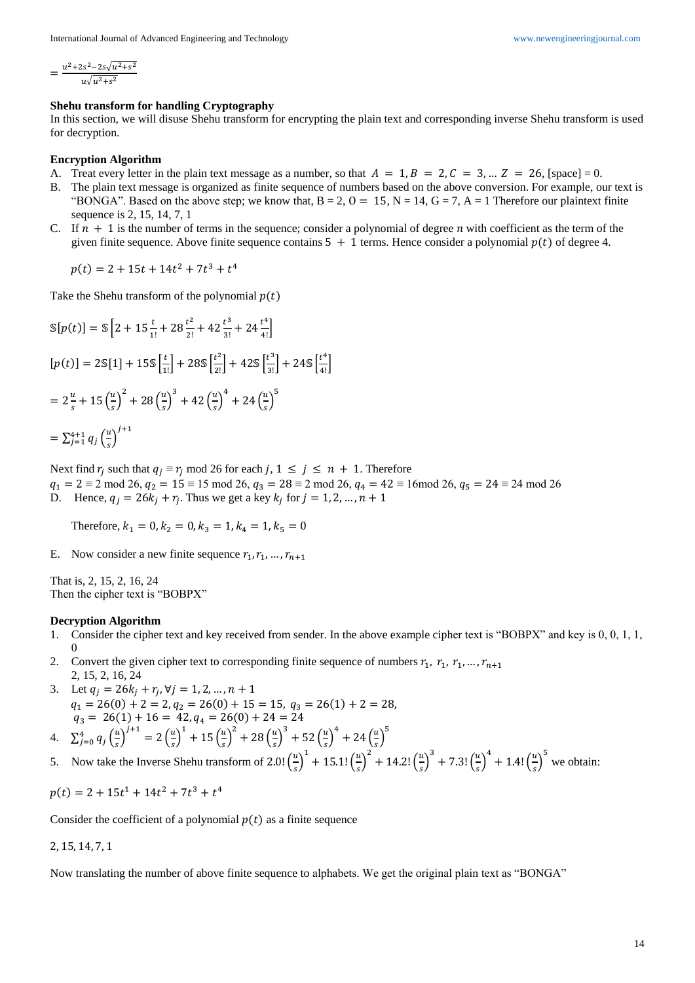$$
=\frac{u^2+2s^2-2s\sqrt{u^2+s^2}}{u\sqrt{u^2+s^2}}
$$

#### **Shehu transform for handling Cryptography**

In this section, we will disuse Shehu transform for encrypting the plain text and corresponding inverse Shehu transform is used for decryption.

#### **Encryption Algorithm**

- A. Treat every letter in the plain text message as a number, so that  $A = 1, B = 2, C = 3, ... Z = 26$ , [space] = 0.
- B. The plain text message is organized as finite sequence of numbers based on the above conversion. For example, our text is "BONGA". Based on the above step; we know that,  $B = 2$ ,  $O = 15$ ,  $N = 14$ ,  $G = 7$ ,  $A = 1$  Therefore our plaintext finite sequence is 2, 15, 14, 7, 1
- C. If  $n + 1$  is the number of terms in the sequence; consider a polynomial of degree n with coefficient as the term of the given finite sequence. Above finite sequence contains  $5 + 1$  terms. Hence consider a polynomial  $p(t)$  of degree 4.

 $p(t) = 2 + 15t + 14t^2 + 7t^3 + t^4$ 

Take the Shehu transform of the polynomial  $p(t)$ 

$$
\mathbb{S}[p(t)] = \mathbb{S}\left[2 + 15\frac{t}{1!} + 28\frac{t^2}{2!} + 42\frac{t^3}{3!} + 24\frac{t^4}{4!}\right]
$$
  
\n
$$
[p(t)] = 2\mathbb{S}[1] + 15\mathbb{S}\left[\frac{t}{1!}\right] + 28\mathbb{S}\left[\frac{t^2}{2!}\right] + 42\mathbb{S}\left[\frac{t^3}{3!}\right] + 24\mathbb{S}\left[\frac{t^4}{4!}\right]
$$
  
\n
$$
= 2\frac{u}{s} + 15\left(\frac{u}{s}\right)^2 + 28\left(\frac{u}{s}\right)^3 + 42\left(\frac{u}{s}\right)^4 + 24\left(\frac{u}{s}\right)^5
$$
  
\n
$$
= \sum_{j=1}^{4+1} q_j \left(\frac{u}{s}\right)^{j+1}
$$

Next find  $r_j$  such that  $q_j \equiv r_j \mod 26$  for each  $j, 1 \le j \le n + 1$ . Therefore

- $q_1 = 2 \equiv 2 \mod 26$ ,  $q_2 = 15 \equiv 15 \mod 26$ ,  $q_3 = 28 \equiv 2 \mod 26$ ,  $q_4 = 42 \equiv 16 \mod 26$ ,  $q_5 = 24 \equiv 24 \mod 26$
- D. Hence,  $q_j = 26k_j + r_j$ . Thus we get a key  $k_j$  for  $j = 1, 2, ..., n + 1$

Therefore,  $k_1 = 0$ ,  $k_2 = 0$ ,  $k_3 = 1$ ,  $k_4 = 1$ ,  $k_5 = 0$ 

E. Now consider a new finite sequence  $r_1, r_1, ..., r_{n+1}$ 

That is, 2, 15, 2, 16, 24 Then the cipher text is "BOBPX"

#### **Decryption Algorithm**

- 1. Consider the cipher text and key received from sender. In the above example cipher text is "BOBPX" and key is 0, 0, 1, 1, 0
- 2. Convert the given cipher text to corresponding finite sequence of numbers  $r_1$ ,  $r_1$ ,  $r_1$ , ...,  $r_{n+1}$ 2, 15, 2, 16, 24
- 3. Let  $q_j = 26k_j + r_j, \forall j = 1, 2, ..., n + 1$  $q_1 = 26(0) + 2 = 2$ ,  $q_2 = 26(0) + 15 = 15$ ,  $q_3 = 26(1) + 2 = 28$ ,  $q_3 = 26(1) + 16 = 42, q_4 = 26(0) + 24 = 24$ 5

4. 
$$
\sum_{j=0}^{4} q_j \left(\frac{u}{s}\right)^{j+1} = 2\left(\frac{u}{s}\right)^1 + 15\left(\frac{u}{s}\right)^2 + 28\left(\frac{u}{s}\right)^3 + 52\left(\frac{u}{s}\right)^4 + 24\left(\frac{u}{s}\right)^4
$$

5. Now take the Inverse Shehu transform of 2.0!  $(\frac{\mu}{2})$  $\left(\frac{u}{s}\right)^{1} + 15.1! \left(\frac{u}{s}\right)$  $\left(\frac{u}{s}\right)^2 + 14.2! \left(\frac{u}{s}\right)$  $\left(\frac{u}{s}\right)^3$  + 7.3!  $\left(\frac{u}{s}\right)$  $\left(\frac{u}{s}\right)^4 + 1.4! \left(\frac{u}{s}\right)$  $\left(\frac{u}{s}\right)^5$  we obtain:

$$
p(t) = 2 + 15t^1 + 14t^2 + 7t^3 + t^4
$$

Consider the coefficient of a polynomial  $p(t)$  as a finite sequence

## 2, 15, 14, 7, 1

Now translating the number of above finite sequence to alphabets. We get the original plain text as "BONGA"